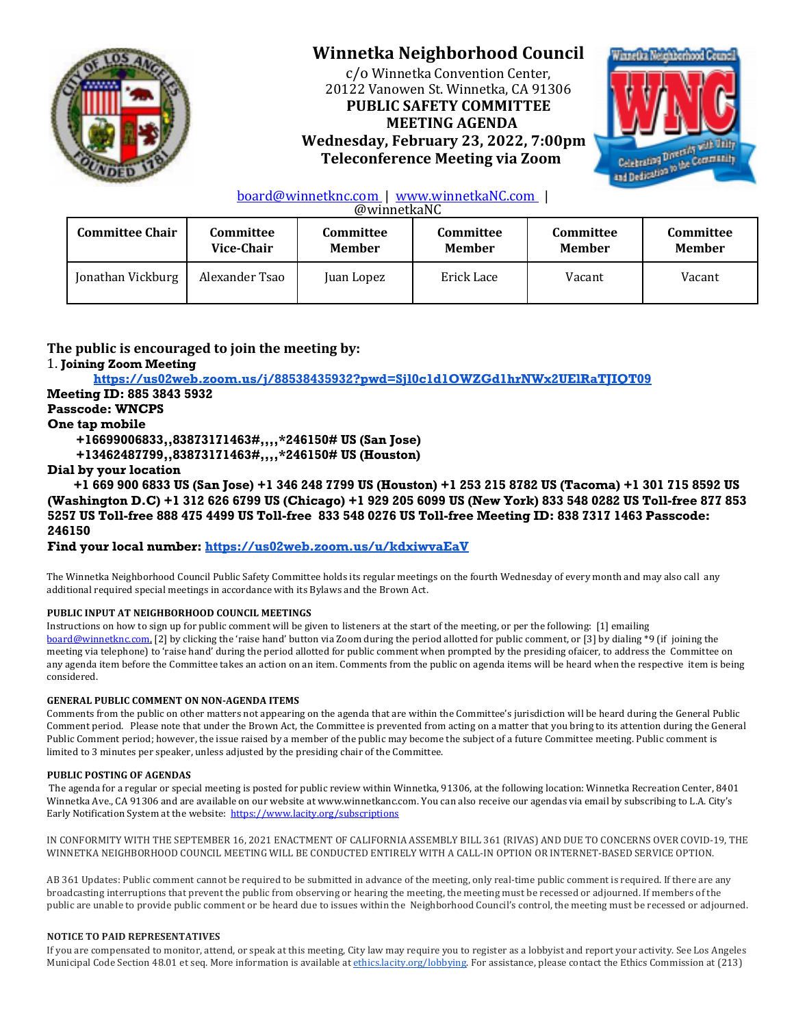

# **Winnetka Neighborhood Council**

c/o Winnetka Convention Center, 20122 Vanowen St. Winnetka, CA 91306 **PUBLIC SAFETY COMMITTEE MEETING AGENDA Wednesday, February 23, 2022, 7:00pm Teleconference Meeting via Zoom** 



## board@winnetknc.com | www.winnetkaNC.com |

@winnetkaNC 

| <b>Committee Chair</b> | Committee      | Committee     | Committee     | Committee     | Committee     |
|------------------------|----------------|---------------|---------------|---------------|---------------|
|                        | Vice-Chair     | <b>Member</b> | <b>Member</b> | <b>Member</b> | <b>Member</b> |
| Jonathan Vickburg      | Alexander Tsao | Juan Lopez    | Erick Lace    | Vacant        | Vacant        |

# The public is encouraged to join the meeting by:

## 1. **Joining Zoom Meeting**

**https://us02web.zoom.us/j/88538435932?pwd=Sjl0c1d1OWZGd1hrNWx2UElRaTJIQT09**

# **Meeting ID: 885 3843 5932**

# **Passcode: WNCPS**

## **One tap mobile**

**+16699006833,,83873171463#,,,,\*246150# US (San Jose)**

**+13462487799,,83873171463#,,,,\*246150# US (Houston)**

## **Dial by your location**

 **+1 669 900 6833 US (San Jose) +1 346 248 7799 US (Houston) +1 253 215 8782 US (Tacoma) +1 301 715 8592 US (Washington D.C) +1 312 626 6799 US (Chicago) +1 929 205 6099 US (New York) 833 548 0282 US Toll-free 877 853 5257 US Toll-free 888 475 4499 US Toll-free 833 548 0276 US Toll-free Meeting ID: 838 7317 1463 Passcode: 246150**

**Find your local number: https://us02web.zoom.us/u/kdxiwvaEaV**

The Winnetka Neighborhood Council Public Safety Committee holds its regular meetings on the fourth Wednesday of every month and may also call any additional required special meetings in accordance with its Bylaws and the Brown Act.

#### **PUBLIC INPUT AT NEIGHBORHOOD COUNCIL MEETINGS**

Instructions on how to sign up for public comment will be given to listeners at the start of the meeting, or per the following: [1] emailing board@winnetknc.com, [2] by clicking the 'raise hand' button via Zoom during the period allotted for public comment, or [3] by dialing \*9 (if joining the meeting via telephone) to 'raise hand' during the period allotted for public comment when prompted by the presiding ofaicer, to address the Committee on any agenda item before the Committee takes an action on an item. Comments from the public on agenda items will be heard when the respective item is being considered. 

#### **GENERAL PUBLIC COMMENT ON NON-AGENDA ITEMS**

Comments from the public on other matters not appearing on the agenda that are within the Committee's jurisdiction will be heard during the General Public Comment period. Please note that under the Brown Act, the Committee is prevented from acting on a matter that you bring to its attention during the General Public Comment period; however, the issue raised by a member of the public may become the subject of a future Committee meeting. Public comment is limited to 3 minutes per speaker, unless adjusted by the presiding chair of the Committee.

#### **PUBLIC POSTING OF AGENDAS**

The agenda for a regular or special meeting is posted for public review within Winnetka, 91306, at the following location: Winnetka Recreation Center, 8401 Winnetka Ave., CA 91306 and are available on our website at www.winnetkanc.com. You can also receive our agendas via email by subscribing to L.A. City's Early Notification System at the website: https://www.lacity.org/subscriptions

IN CONFORMITY WITH THE SEPTEMBER 16, 2021 ENACTMENT OF CALIFORNIA ASSEMBLY BILL 361 (RIVAS) AND DUE TO CONCERNS OVER COVID-19, THE WINNETKA NEIGHBORHOOD COUNCIL MEETING WILL BE CONDUCTED ENTIRELY WITH A CALL-IN OPTION OR INTERNET-BASED SERVICE OPTION.

AB 361 Updates: Public comment cannot be required to be submitted in advance of the meeting, only real-time public comment is required. If there are any broadcasting interruptions that prevent the public from observing or hearing the meeting, the meeting must be recessed or adjourned. If members of the public are unable to provide public comment or be heard due to issues within the Neighborhood Council's control, the meeting must be recessed or adjourned.

#### **NOTICE TO PAID REPRESENTATIVES**

If you are compensated to monitor, attend, or speak at this meeting, City law may require you to register as a lobbyist and report your activity. See Los Angeles Municipal Code Section 48.01 et seq. More information is available at *ethics.lacity.org/lobbying*. For assistance, please contact the Ethics Commission at (213)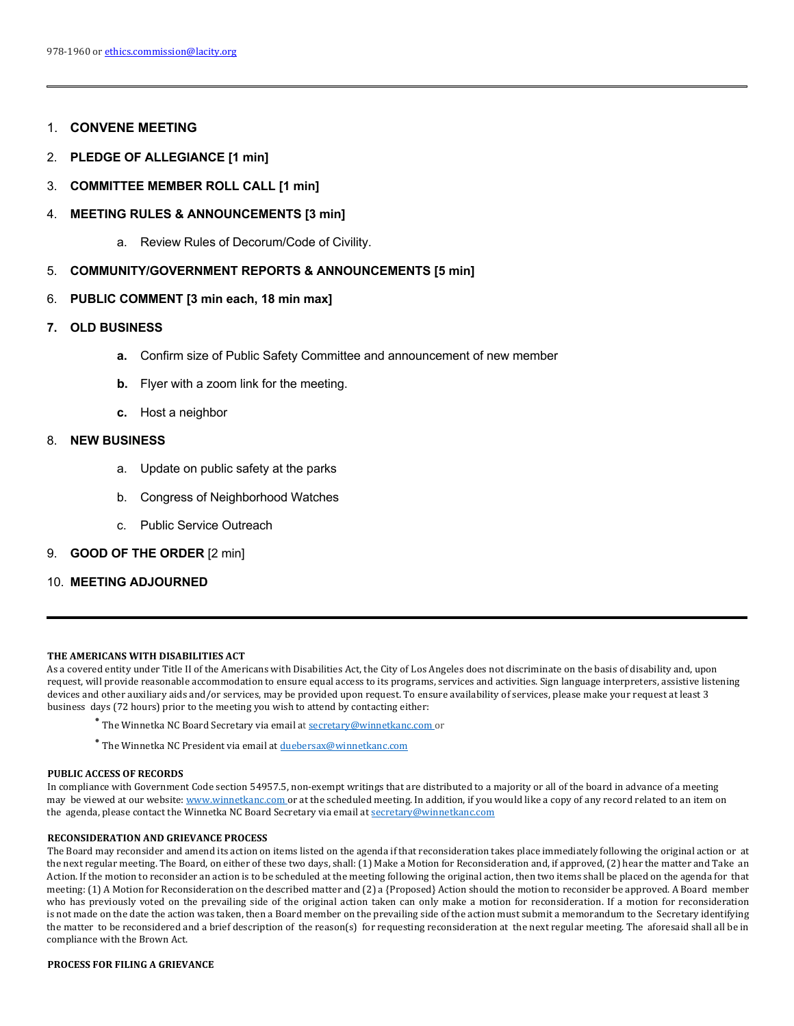## 1. **CONVENE MEETING**

- 2. **PLEDGE OF ALLEGIANCE [1 min]**
- 3. **COMMITTEE MEMBER ROLL CALL [1 min]**

#### 4. **MEETING RULES & ANNOUNCEMENTS [3 min]**

a. Review Rules of Decorum/Code of Civility.

### 5. **COMMUNITY/GOVERNMENT REPORTS & ANNOUNCEMENTS [5 min]**

## 6. **PUBLIC COMMENT [3 min each, 18 min max]**

### **7. OLD BUSINESS**

- **a.** Confirm size of Public Safety Committee and announcement of new member
- **b.** Flyer with a zoom link for the meeting.
- **c.** Host a neighbor

### 8. **NEW BUSINESS**

- a. Update on public safety at the parks
- b. Congress of Neighborhood Watches
- c. Public Service Outreach

#### 9. **GOOD OF THE ORDER** [2 min]

## 10. **MEETING ADJOURNED**

#### **THE AMERICANS WITH DISABILITIES ACT**

As a covered entity under Title II of the Americans with Disabilities Act, the City of Los Angeles does not discriminate on the basis of disability and, upon request, will provide reasonable accommodation to ensure equal access to its programs, services and activities. Sign language interpreters, assistive listening devices and other auxiliary aids and/or services, may be provided upon request. To ensure availability of services, please make your request at least 3 business days (72 hours) prior to the meeting you wish to attend by contacting either:

- The Winnetka NC Board Secretary via email at secretary@winnetkanc.com or
- $^{\bullet}$  The Winnetka NC President via email at  $\underline{\text{duebersax@winner}}$

#### **PUBLIC ACCESS OF RECORDS**

In compliance with Government Code section 54957.5, non-exempt writings that are distributed to a majority or all of the board in advance of a meeting may be viewed at our website: www.winnetkanc.com or at the scheduled meeting. In addition, if you would like a copy of any record related to an item on the agenda, please contact the Winnetka NC Board Secretary via email at secretary@winnetkanc.com

#### **RECONSIDERATION AND GRIEVANCE PROCESS**

The Board may reconsider and amend its action on items listed on the agenda if that reconsideration takes place immediately following the original action or at the next regular meeting. The Board, on either of these two days, shall: (1) Make a Motion for Reconsideration and, if approved, (2) hear the matter and Take an Action. If the motion to reconsider an action is to be scheduled at the meeting following the original action, then two items shall be placed on the agenda for that meeting: (1) A Motion for Reconsideration on the described matter and (2) a {Proposed} Action should the motion to reconsider be approved. A Board member who has previously voted on the prevailing side of the original action taken can only make a motion for reconsideration. If a motion for reconsideration is not made on the date the action was taken, then a Board member on the prevailing side of the action must submit a memorandum to the Secretary identifying the matter to be reconsidered and a brief description of the reason(s) for requesting reconsideration at the next regular meeting. The aforesaid shall all be in compliance with the Brown Act.

#### **PROCESS FOR FILING A GRIEVANCE**